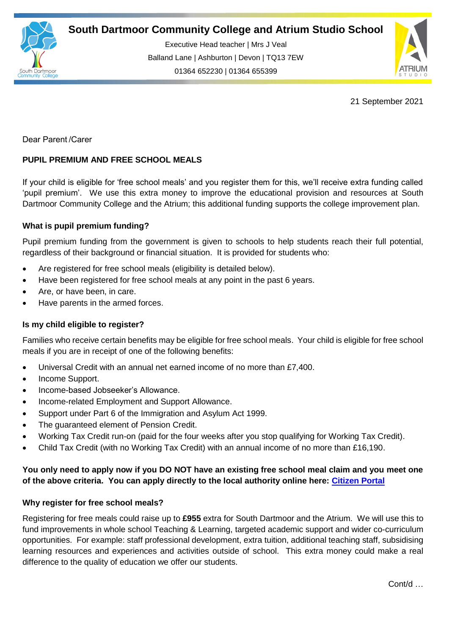

Executive Head teacher | Mrs J Veal Balland Lane | Ashburton | Devon | TQ13 7EW 01364 652230 | 01364 655399

ww.south.uk | [www.atrium-studio.co.uk](http://www.atrium-studio.co.uk/) | www.atrium-studio.co.uk



21 September 2021

Dear Parent /Carer

# **PUPIL PREMIUM AND FREE SCHOOL MEALS**

If your child is eligible for 'free school meals' and you register them for this, we'll receive extra funding called 'pupil premium'. We use this extra money to improve the educational provision and resources at South Dartmoor Community College and the Atrium; this additional funding supports the college improvement plan.

## **What is pupil premium funding?**

Pupil premium funding from the government is given to schools to help students reach their full potential, regardless of their background or financial situation. It is provided for students who:

- Are registered for free school meals (eligibility is detailed below).
- Have been registered for free school meals at any point in the past 6 years.
- Are, or have been, in care.
- Have parents in the armed forces.

### **Is my child eligible to register?**

Families who receive certain benefits may be eligible for free school meals. Your child is eligible for free school meals if you are in receipt of one of the following benefits:

- Universal Credit with an annual net earned income of no more than £7,400.
- Income Support.
- Income-based Jobseeker's Allowance.
- Income-related Employment and Support Allowance.
- Support under Part 6 of the Immigration and Asylum Act 1999.
- The guaranteed element of Pension Credit.
- Working Tax Credit run-on (paid for the four weeks after you stop qualifying for Working Tax Credit).
- Child Tax Credit (with no Working Tax Credit) with an annual income of no more than £16,190.

# **You only need to apply now if you DO NOT have an existing free school meal claim and you meet one of the above criteria. You can apply directly to the local authority online here: [Citizen Portal](https://oneonline.devon.gov.uk/CCSCitizenPortal_LIVE/Account/Login?ReturnUrl=%2fCCSCitizenPortal_live%20)**

### **Why register for free school meals?**

Registering for free meals could raise up to **£955** extra for South Dartmoor and the Atrium. We will use this to fund improvements in whole school Teaching & Learning, targeted academic support and wider co-curriculum opportunities. For example: staff professional development, extra tuition, additional teaching staff, subsidising learning resources and experiences and activities outside of school. This extra money could make a real difference to the quality of education we offer our students.